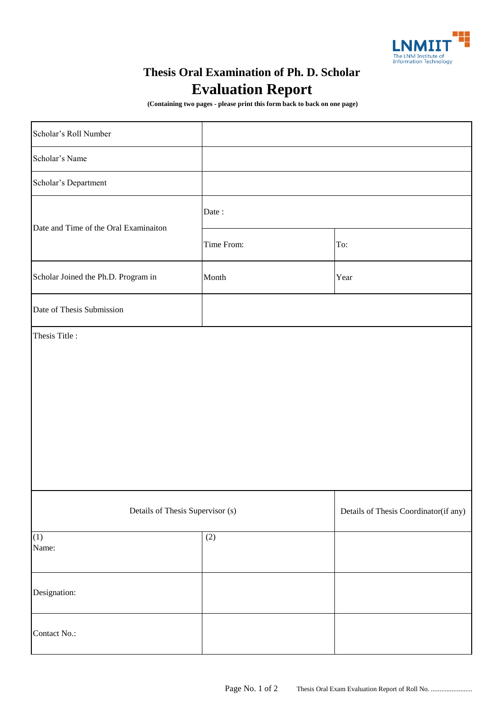

## **Evaluation Report Thesis Oral Examination of Ph. D. Scholar**

 **(Containing two pages - please print this form back to back on one page)**

| Scholar's Roll Number                 |                   |                                       |
|---------------------------------------|-------------------|---------------------------------------|
| Scholar's Name                        |                   |                                       |
| Scholar's Department                  |                   |                                       |
| Date and Time of the Oral Examinaiton | Date:             |                                       |
|                                       | Time From:        | To:                                   |
| Scholar Joined the Ph.D. Program in   | Month             | Year                                  |
| Date of Thesis Submission             |                   |                                       |
|                                       |                   |                                       |
| Details of Thesis Supervisor (s)      |                   | Details of Thesis Coordinator(if any) |
| (1)<br>Name:                          | $\left( 2\right)$ |                                       |
| Designation:                          |                   |                                       |
| Contact No.:                          |                   |                                       |